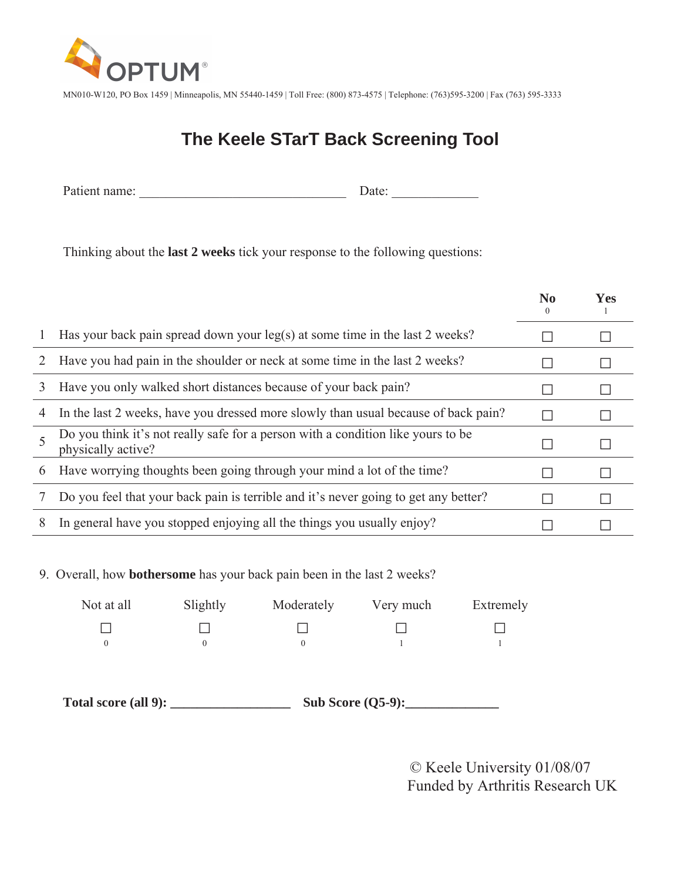

MN010-W120, PO Box 1459 | Minneapolis, MN 55440-1459 | Toll Free: (800) 873-4575 | Telephone: (763)595-3200 | Fax (763) 595-3333

## **The Keele STarT Back Screening Tool**

Patient name: \_\_\_\_\_\_\_\_\_\_\_\_\_\_\_\_\_\_\_\_\_\_\_\_\_\_\_\_\_\_\_ Date: \_\_\_\_\_\_\_\_\_\_\_\_\_

Thinking about the **last 2 weeks** tick your response to the following questions:

|               |                                                                                                        | No<br>$\theta$ | <b>Yes</b> |
|---------------|--------------------------------------------------------------------------------------------------------|----------------|------------|
|               | Has your back pain spread down your leg(s) at some time in the last 2 weeks?                           |                |            |
|               | Have you had pain in the shoulder or neck at some time in the last 2 weeks?                            |                |            |
| 3             | Have you only walked short distances because of your back pain?                                        |                |            |
| 4             | In the last 2 weeks, have you dressed more slowly than usual because of back pain?                     |                |            |
|               | Do you think it's not really safe for a person with a condition like yours to be<br>physically active? |                |            |
| $\mathfrak b$ | Have worrying thoughts been going through your mind a lot of the time?                                 |                |            |
|               | Do you feel that your back pain is terrible and it's never going to get any better?                    |                |            |
| 8             | In general have you stopped enjoying all the things you usually enjoy?                                 |                |            |

9. Overall, how **bothersome** has your back pain been in the last 2 weeks?

| Not at all | Slightly | Moderately | Very much | Extremely |
|------------|----------|------------|-----------|-----------|
|            |          |            |           |           |
|            |          |            |           |           |

**Total score (all 9): \_\_\_\_\_\_\_\_\_\_\_\_\_\_\_\_\_\_ Sub Score (Q5-9):\_\_\_\_\_\_\_\_\_\_\_\_\_\_** 

© Keele University 01/08/07 Funded by Arthritis Research UK